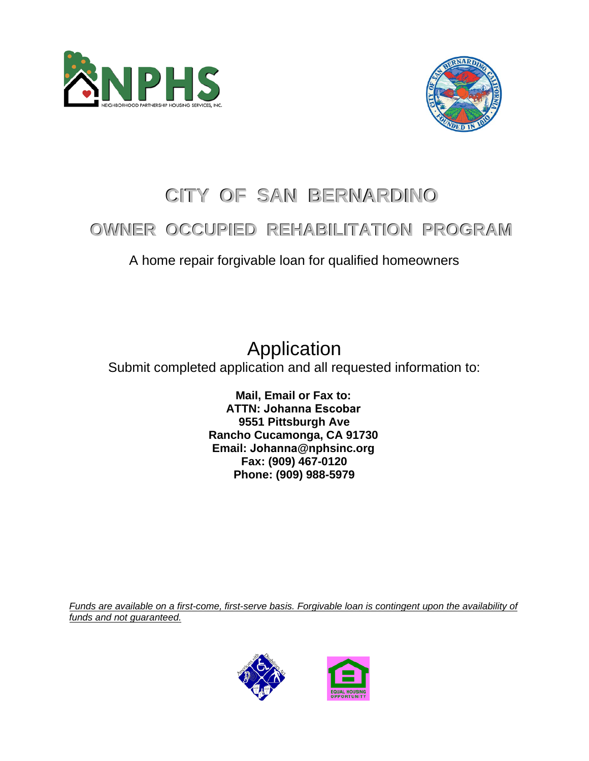



# **CITY OF SAN BERNARDINO**

# **OWNER OCCUPIED REHABILITATION PROGRAM**

# A home repair forgivable loan for qualified homeowners

Application Submit completed application and all requested information to:

> **Mail, Email or Fax to: ATTN: Johanna Escobar 9551 Pittsburgh Ave Rancho Cucamonga, CA 91730 Email: Johanna@nphsinc.org Fax: (909) 467-0120 Phone: (909) 988-5979**

*Funds are available on a first-come, first-serve basis. Forgivable loan is contingent upon the availability of funds and not guaranteed.*

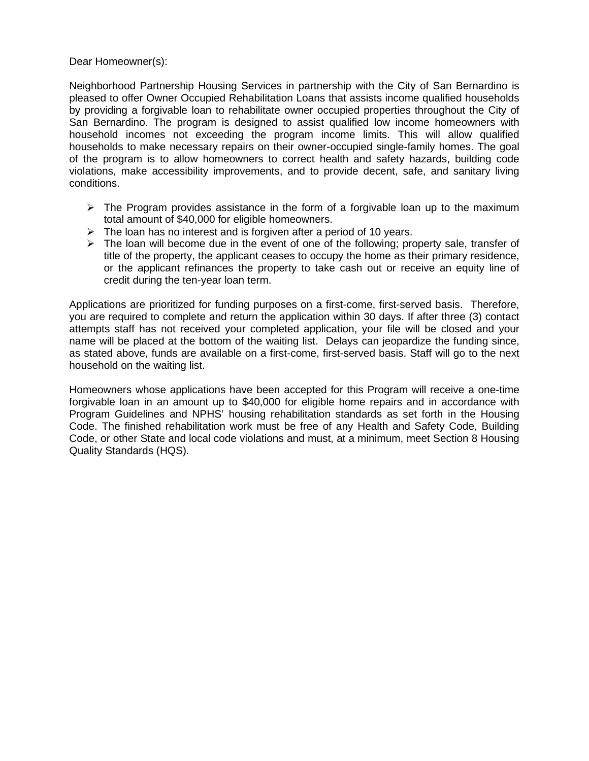Dear Homeowner(s):

Neighborhood Partnership Housing Services in partnership with the City of San Bernardino is pleased to offer Owner Occupied Rehabilitation Loans that assists income qualified households by providing a forgivable loan to rehabilitate owner occupied properties throughout the City of San Bernardino. The program is designed to assist qualified low income homeowners with household incomes not exceeding the program income limits. This will allow qualified households to make necessary repairs on their owner-occupied single-family homes. The goal of the program is to allow homeowners to correct health and safety hazards, building code violations, make accessibility improvements, and to provide decent, safe, and sanitary living conditions.

- $\triangleright$  The Program provides assistance in the form of a forgivable loan up to the maximum total amount of \$40,000 for eligible homeowners.
- $\triangleright$  The loan has no interest and is forgiven after a period of 10 years.
- $\triangleright$  The loan will become due in the event of one of the following; property sale, transfer of title of the property, the applicant ceases to occupy the home as their primary residence, or the applicant refinances the property to take cash out or receive an equity line of credit during the ten-year loan term.

Applications are prioritized for funding purposes on a first-come, first-served basis. Therefore, you are required to complete and return the application within 30 days. If after three (3) contact attempts staff has not received your completed application, your file will be closed and your name will be placed at the bottom of the waiting list. Delays can jeopardize the funding since, as stated above, funds are available on a first-come, first-served basis. Staff will go to the next household on the waiting list.

Homeowners whose applications have been accepted for this Program will receive a one-time forgivable loan in an amount up to \$40,000 for eligible home repairs and in accordance with Program Guidelines and NPHS' housing rehabilitation standards as set forth in the Housing Code. The finished rehabilitation work must be free of any Health and Safety Code, Building Code, or other State and local code violations and must, at a minimum, meet Section 8 Housing Quality Standards (HQS).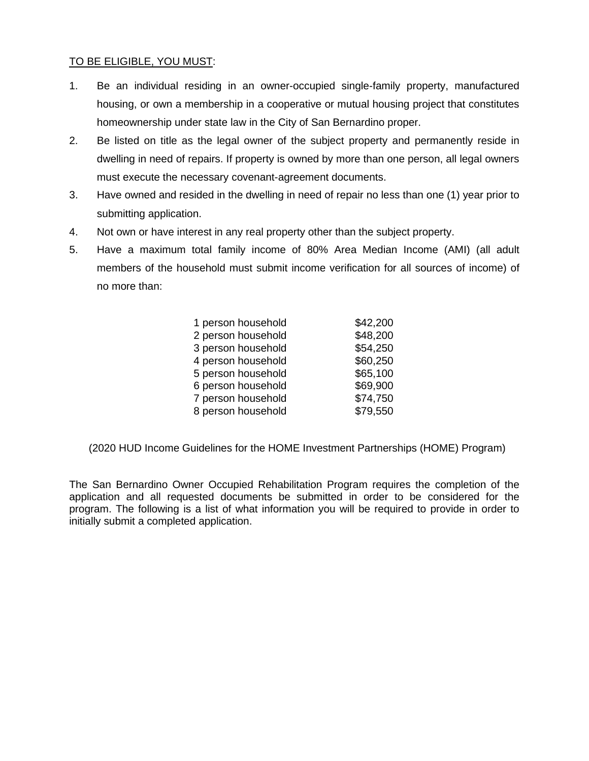#### TO BE ELIGIBLE, YOU MUST:

- 1. Be an individual residing in an owner-occupied single-family property, manufactured housing, or own a membership in a cooperative or mutual housing project that constitutes homeownership under state law in the City of San Bernardino proper.
- 2. Be listed on title as the legal owner of the subject property and permanently reside in dwelling in need of repairs. If property is owned by more than one person, all legal owners must execute the necessary covenant-agreement documents.
- 3. Have owned and resided in the dwelling in need of repair no less than one (1) year prior to submitting application.
- 4. Not own or have interest in any real property other than the subject property.
- 5. Have a maximum total family income of 80% Area Median Income (AMI) (all adult members of the household must submit income verification for all sources of income) of no more than:

| \$42,200 |
|----------|
| \$48,200 |
| \$54,250 |
| \$60,250 |
| \$65,100 |
| \$69,900 |
| \$74,750 |
| \$79,550 |
|          |

(2020 HUD Income Guidelines for the HOME Investment Partnerships (HOME) Program)

The San Bernardino Owner Occupied Rehabilitation Program requires the completion of the application and all requested documents be submitted in order to be considered for the program. The following is a list of what information you will be required to provide in order to initially submit a completed application.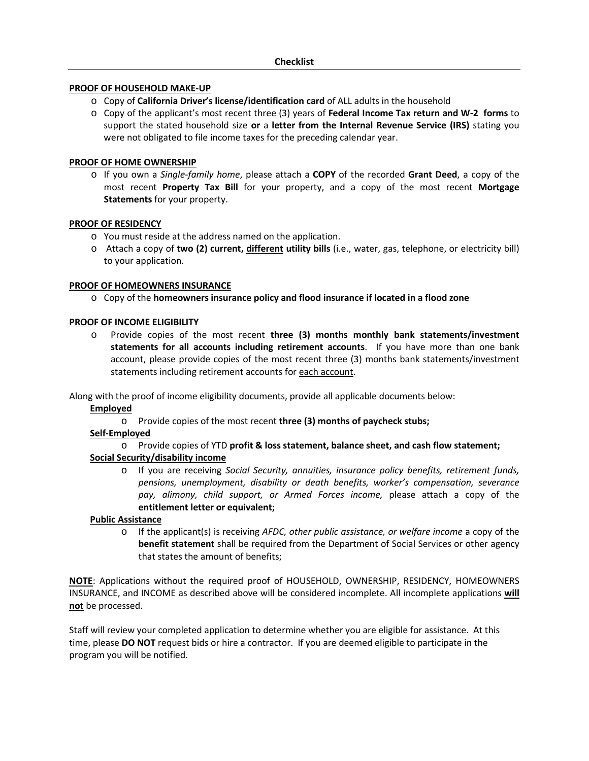#### **PROOF OF HOUSEHOLD MAKE-UP**

- o Copy of **California Driver's license/identification card** of ALL adults in the household
- o Copy of the applicant's most recent three (3) years of **Federal Income Tax return and W-2 forms** to support the stated household size **or** a **letter from the Internal Revenue Service (IRS)** stating you were not obligated to file income taxes for the preceding calendar year.

#### **PROOF OF HOME OWNERSHIP**

o If you own a *Single-family home*, please attach a **COPY** of the recorded **Grant Deed**, a copy of the most recent **Property Tax Bill** for your property, and a copy of the most recent **Mortgage Statements** for your property.

#### **PROOF OF RESIDENCY**

- o You must reside at the address named on the application.
- o Attach a copy of **two (2) current, different utility bills** (i.e., water, gas, telephone, or electricity bill) to your application.

#### **PROOF OF HOMEOWNERS INSURANCE**

o Copy of the **homeowners insurance policy and flood insurance if located in a flood zone** 

#### **PROOF OF INCOME ELIGIBILITY**

o Provide copies of the most recent **three (3) months monthly bank statements/investment statements for all accounts including retirement accounts**. If you have more than one bank account, please provide copies of the most recent three (3) months bank statements/investment statements including retirement accounts for each account.

Along with the proof of income eligibility documents, provide all applicable documents below:

#### **Employed**

o Provide copies of the most recent **three (3) months of paycheck stubs;**

#### **Self-Employed**

- o Provide copies of YTD **profit & loss statement, balance sheet, and cash flow statement; Social Security/disability income**
	- o If you are receiving *Social Security, annuities, insurance policy benefits, retirement funds, pensions, unemployment, disability or death benefits, worker's compensation, severance pay, alimony, child support, or Armed Forces income,* please attach a copy of the **entitlement letter or equivalent;**

#### **Public Assistance**

o If the applicant(s) is receiving *AFDC, other public assistance, or welfare income* a copy of the **benefit statement** shall be required from the Department of Social Services or other agency that states the amount of benefits;

**NOTE**: Applications without the required proof of HOUSEHOLD, OWNERSHIP, RESIDENCY, HOMEOWNERS INSURANCE, and INCOME as described above will be considered incomplete. All incomplete applications **will not** be processed.

Staff will review your completed application to determine whether you are eligible for assistance. At this time, please **DO NOT** request bids or hire a contractor. If you are deemed eligible to participate in the program you will be notified.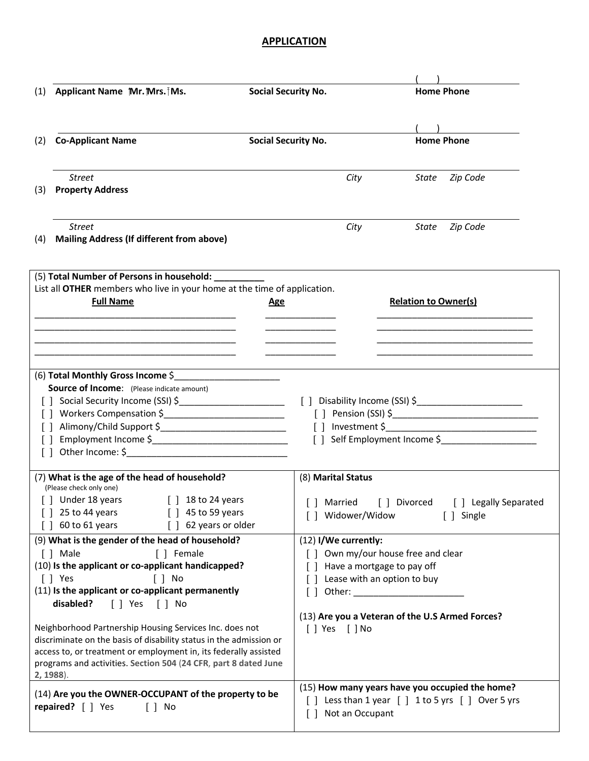### **APPLICATION**

| (1)          | Applicant Name †Mr.†Mrs.†Ms.                                                                        | <b>Social Security No.</b> |                      |                   |                                                 | <b>Home Phone</b>                                     |  |
|--------------|-----------------------------------------------------------------------------------------------------|----------------------------|----------------------|-------------------|-------------------------------------------------|-------------------------------------------------------|--|
|              |                                                                                                     |                            |                      |                   |                                                 |                                                       |  |
|              |                                                                                                     |                            |                      |                   |                                                 |                                                       |  |
| (2)          | <b>Co-Applicant Name</b>                                                                            | <b>Social Security No.</b> |                      |                   |                                                 | <b>Home Phone</b>                                     |  |
|              |                                                                                                     |                            |                      |                   |                                                 |                                                       |  |
|              | <b>Street</b>                                                                                       |                            |                      | City              | State                                           | Zip Code                                              |  |
| (3)          | <b>Property Address</b>                                                                             |                            |                      |                   |                                                 |                                                       |  |
|              |                                                                                                     |                            |                      |                   |                                                 |                                                       |  |
|              | Street                                                                                              |                            |                      |                   |                                                 | Zip Code                                              |  |
| (4)          | <b>Mailing Address (If different from above)</b>                                                    |                            |                      | City              | State                                           |                                                       |  |
|              |                                                                                                     |                            |                      |                   |                                                 |                                                       |  |
|              | (5) Total Number of Persons in household: _________                                                 |                            |                      |                   |                                                 |                                                       |  |
|              | List all OTHER members who live in your home at the time of application.                            |                            |                      |                   |                                                 |                                                       |  |
|              | <b>Full Name</b>                                                                                    | Age                        |                      |                   | <b>Relation to Owner(s)</b>                     |                                                       |  |
|              |                                                                                                     |                            |                      |                   |                                                 |                                                       |  |
|              |                                                                                                     |                            |                      |                   |                                                 |                                                       |  |
|              |                                                                                                     |                            |                      |                   |                                                 |                                                       |  |
|              |                                                                                                     |                            |                      |                   |                                                 |                                                       |  |
|              | (6) Total Monthly Gross Income \$                                                                   |                            |                      |                   |                                                 |                                                       |  |
|              | <b>Source of Income:</b> (Please indicate amount)                                                   |                            |                      |                   |                                                 | [ ] Disability Income (SSI) \$_______________________ |  |
|              |                                                                                                     |                            |                      |                   |                                                 |                                                       |  |
|              |                                                                                                     |                            |                      |                   |                                                 |                                                       |  |
| $\mathsf{L}$ |                                                                                                     |                            |                      |                   |                                                 | [] Self Employment Income \$                          |  |
| $\perp$      |                                                                                                     |                            |                      |                   |                                                 |                                                       |  |
|              | (7) What is the age of the head of household?                                                       |                            | (8) Marital Status   |                   |                                                 |                                                       |  |
|              | (Please check only one)                                                                             |                            |                      |                   |                                                 |                                                       |  |
|              | [] Under 18 years [] 18 to 24 years                                                                 |                            |                      |                   |                                                 | [ ] Married [ ] Divorced [ ] Legally Separated        |  |
|              | $\lceil$ 25 to 44 years<br>$\lceil$   45 to 59 years                                                |                            |                      | [ ] Widower/Widow |                                                 | [ ] Single                                            |  |
|              | $\lceil$   60 to 61 years<br>[ ] 62 years or older                                                  |                            |                      |                   |                                                 |                                                       |  |
|              | (9) What is the gender of the head of household?                                                    |                            | (12) I/We currently: |                   |                                                 |                                                       |  |
|              | [ ] Male<br>[ ] Female                                                                              |                            |                      |                   | [] Own my/our house free and clear              |                                                       |  |
|              | (10) Is the applicant or co-applicant handicapped?                                                  |                            | $\Box$               |                   | Have a mortgage to pay off                      |                                                       |  |
|              | $\lceil \, \rceil$ No<br>$\lceil \ \rceil$ Yes<br>(11) Is the applicant or co-applicant permanently |                            | $\Box$               |                   | Lease with an option to buy                     |                                                       |  |
|              | [] Yes [] No<br>disabled?                                                                           |                            |                      |                   | $\begin{bmatrix} \end{bmatrix}$ Other:          |                                                       |  |
|              |                                                                                                     |                            |                      |                   | (13) Are you a Veteran of the U.S Armed Forces? |                                                       |  |
|              | Neighborhood Partnership Housing Services Inc. does not                                             |                            | $[ ]$ Yes $[ ]$ No   |                   |                                                 |                                                       |  |
|              | discriminate on the basis of disability status in the admission or                                  |                            |                      |                   |                                                 |                                                       |  |
|              | access to, or treatment or employment in, its federally assisted                                    |                            |                      |                   |                                                 |                                                       |  |
|              | programs and activities. Section 504 (24 CFR, part 8 dated June                                     |                            |                      |                   |                                                 |                                                       |  |
|              | 2, 1988).                                                                                           |                            |                      |                   |                                                 |                                                       |  |
|              | (14) Are you the OWNER-OCCUPANT of the property to be                                               |                            |                      |                   |                                                 | (15) How many years have you occupied the home?       |  |
|              | repaired? $\lceil \; \rceil$ Yes<br>$\lceil \, \rceil$ No                                           |                            |                      |                   |                                                 | [] Less than 1 year [] 1 to 5 yrs [] Over 5 yrs       |  |
|              |                                                                                                     |                            | $\Box$               | Not an Occupant   |                                                 |                                                       |  |
|              |                                                                                                     |                            |                      |                   |                                                 |                                                       |  |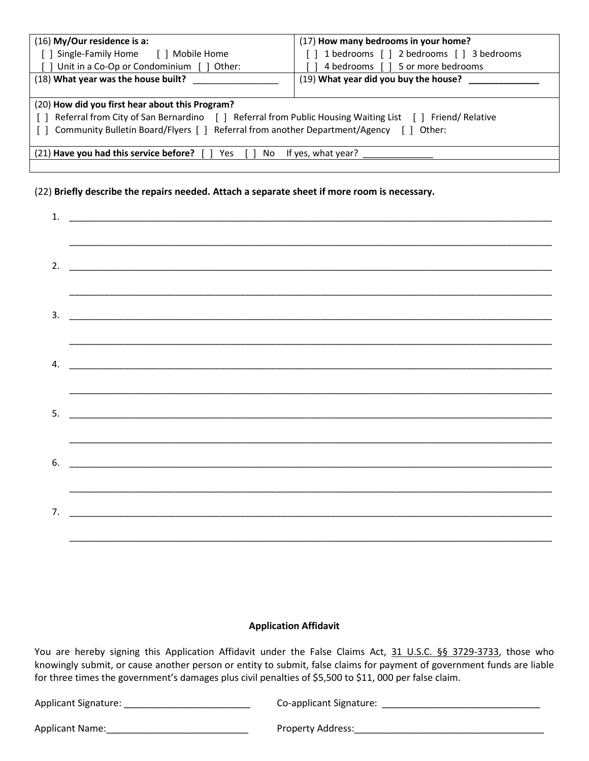| $(16)$ My/Our residence is a:                                                                           | (17) How many bedrooms in your home?     |  |
|---------------------------------------------------------------------------------------------------------|------------------------------------------|--|
| Single-Family Home [ ] Mobile Home                                                                      | 1 bedrooms [ ] 2 bedrooms [ ] 3 bedrooms |  |
| Unit in a Co-Op or Condominium [ ] Other:                                                               | 4 bedrooms [ ] 5 or more bedrooms        |  |
| (18) What year was the house built?                                                                     | (19) What year did you buy the house?    |  |
|                                                                                                         |                                          |  |
| (20) How did you first hear about this Program?                                                         |                                          |  |
| Referral from City of San Bernardino [ ] Referral from Public Housing Waiting List [ ] Friend/ Relative |                                          |  |
| [ ] Community Bulletin Board/Flyers [ ] Referral from another Department/Agency [ ] Other:              |                                          |  |
|                                                                                                         |                                          |  |
| (21) Have you had this service before? [<br>Yes<br>No.                                                  | If yes, what year?                       |  |
|                                                                                                         |                                          |  |

#### (22) **Briefly describe the repairs needed. Attach a separate sheet if more room is necessary.**

| $\frac{1}{2}$ |  |  |  |  |
|---------------|--|--|--|--|
|               |  |  |  |  |
|               |  |  |  |  |
|               |  |  |  |  |
|               |  |  |  |  |
|               |  |  |  |  |
|               |  |  |  |  |
|               |  |  |  |  |
|               |  |  |  |  |
|               |  |  |  |  |
|               |  |  |  |  |

#### **Application Affidavit**

You are hereby signing this Application Affidavit under the False Claims Act, 31 U.S.C. §§ 3729-3733, those who knowingly submit, or cause another person or entity to submit, false claims for payment of government funds are liable for three times the government's damages plus civil penalties of \$5,500 to \$11, 000 per false claim.

| <b>Applicant Signature:</b> | Co-applicant Signature:  |
|-----------------------------|--------------------------|
| <b>Applicant Name:</b>      | <b>Property Address:</b> |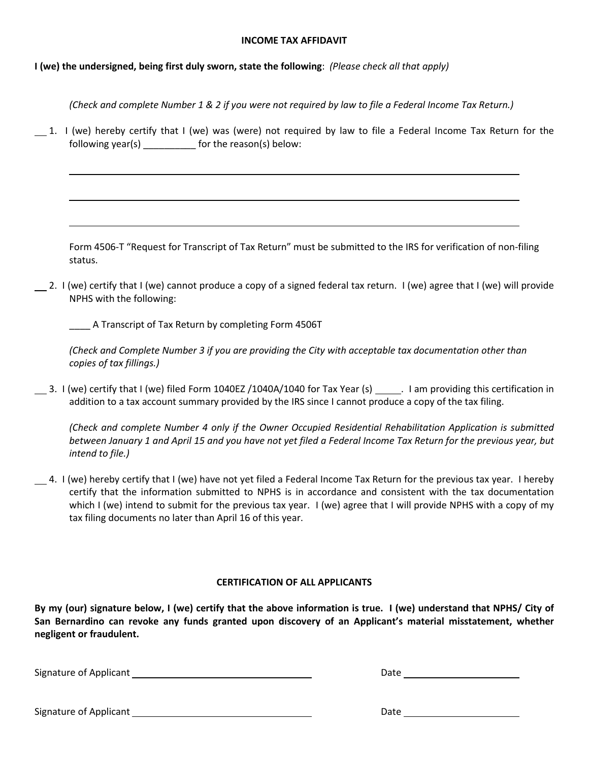#### **INCOME TAX AFFIDAVIT**

**I (we) the undersigned, being first duly sworn, state the following**: *(Please check all that apply)*

*(Check and complete Number 1 & 2 if you were not required by law to file a Federal Income Tax Return.)*

 1. I (we) hereby certify that I (we) was (were) not required by law to file a Federal Income Tax Return for the following year(s)  $\qquad \qquad$  for the reason(s) below:

Form 4506-T "Request for Transcript of Tax Return" must be submitted to the IRS for verification of non-filing status.

 2. I (we) certify that I (we) cannot produce a copy of a signed federal tax return. I (we) agree that I (we) will provide NPHS with the following:

\_\_\_\_ A Transcript of Tax Return by completing Form 4506T

*(Check and Complete Number 3 if you are providing the City with acceptable tax documentation other than copies of tax fillings.)*

13. I (we) certify that I (we) filed Form 1040EZ /1040A/1040 for Tax Year (s) \_\_\_\_\_\_. I am providing this certification in addition to a tax account summary provided by the IRS since I cannot produce a copy of the tax filing.

*(Check and complete Number 4 only if the Owner Occupied Residential Rehabilitation Application is submitted between January 1 and April 15 and you have not yet filed a Federal Income Tax Return for the previous year, but intend to file.)*

 $-4.$  I (we) hereby certify that I (we) have not yet filed a Federal Income Tax Return for the previous tax year. I hereby certify that the information submitted to NPHS is in accordance and consistent with the tax documentation which I (we) intend to submit for the previous tax year. I (we) agree that I will provide NPHS with a copy of my tax filing documents no later than April 16 of this year.

#### **CERTIFICATION OF ALL APPLICANTS**

**By my (our) signature below, I (we) certify that the above information is true. I (we) understand that NPHS/ City of San Bernardino can revoke any funds granted upon discovery of an Applicant's material misstatement, whether negligent or fraudulent.** 

Signature of Applicant Date of Applicant Date of Applicant Date of Applicant Date of Applicant Date of Applicant Date of Applicant Date of Applicant Date of Applicant Date of Applicant Date of Applicant Date of Applicant D

| Date |
|------|
|------|

| Signature of Applicant | Date |
|------------------------|------|
|------------------------|------|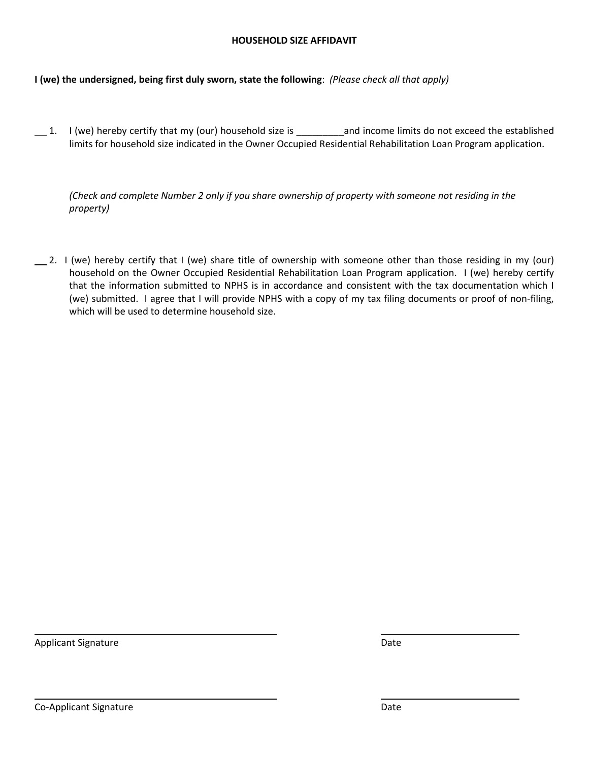#### **HOUSEHOLD SIZE AFFIDAVIT**

**I (we) the undersigned, being first duly sworn, state the following**: *(Please check all that apply)*

1. I (we) hereby certify that my (our) household size is and income limits do not exceed the established limits for household size indicated in the Owner Occupied Residential Rehabilitation Loan Program application.

*(Check and complete Number 2 only if you share ownership of property with someone not residing in the property)*

 2. I (we) hereby certify that I (we) share title of ownership with someone other than those residing in my (our) household on the Owner Occupied Residential Rehabilitation Loan Program application. I (we) hereby certify that the information submitted to NPHS is in accordance and consistent with the tax documentation which I (we) submitted. I agree that I will provide NPHS with a copy of my tax filing documents or proof of non-filing, which will be used to determine household size.

Applicant Signature Date Applicant Signature Date Applicant Signature Date Applicant Signature Date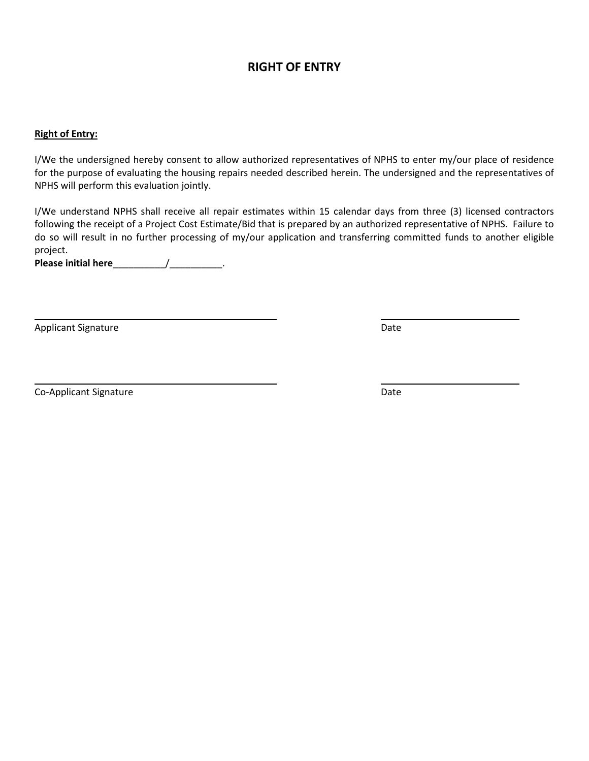### **RIGHT OF ENTRY**

#### **Right of Entry:**

I/We the undersigned hereby consent to allow authorized representatives of NPHS to enter my/our place of residence for the purpose of evaluating the housing repairs needed described herein. The undersigned and the representatives of NPHS will perform this evaluation jointly.

I/We understand NPHS shall receive all repair estimates within 15 calendar days from three (3) licensed contractors following the receipt of a Project Cost Estimate/Bid that is prepared by an authorized representative of NPHS. Failure to do so will result in no further processing of my/our application and transferring committed funds to another eligible project.

**Please initial here**\_\_\_\_\_\_\_\_\_\_/\_\_\_\_\_\_\_\_\_\_.

Applicant Signature Date

Co-Applicant Signature Date Date of the United States of the Date Date Date Date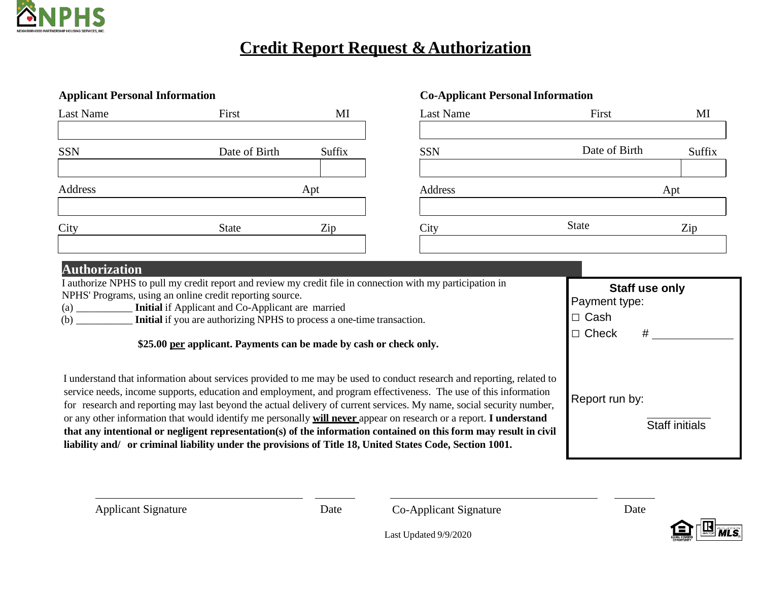

# **Credit Report Request &Authorization**

| Last Name  | First         | MI     | Last Name  | First         | MI     |
|------------|---------------|--------|------------|---------------|--------|
| <b>SSN</b> | Date of Birth | Suffix | <b>SSN</b> | Date of Birth | Suffix |
| Address    |               | Apt    | Address    |               | Apt    |
| City       | <b>State</b>  | Zip    | City       | State         | Zip    |

### **Applicant Personal Information Co-Applicant PersonalInformation**

| Last Name | First         | MI     |
|-----------|---------------|--------|
|           |               |        |
| SSN       | Date of Birth | Suffix |
|           |               |        |
| Address   |               | Apt    |
|           |               |        |
| City      | <b>State</b>  | Zip    |
|           |               |        |

#### I authorize NPHS to pull my credit report and review my credit file in connection with my participation in NPHS' Programs, using an online credit reporting source. (a) \_\_\_\_\_\_\_\_\_\_\_ **Initial** if Applicant and Co-Applicant are married (b) \_\_\_\_\_\_\_\_\_\_\_ **Initial** if you are authorizing NPHS to process a one-time transaction. **\$25.00 per applicant. Payments can be made by cash or check only.** I understand that information about services provided to me may be used to conduct research and reporting, related to service needs, income supports, education and employment, and program effectiveness. The use of this information for research and reporting may last beyond the actual delivery of current services. My name, social security number, or any other information that would identify me personally **will never** appear on research or a report. **I understand that any intentional or negligent representation(s) of the information contained on this form may result in civil liability and/ or criminal liability under the provisions of Title 18, United States Code, Section 1001. Authorization Staff use only** Payment type: **□** Cash □ Check Report run by: Staff initials

| <b>Applicant Signature</b> | Date | Co-Applicant Signature | Date        |
|----------------------------|------|------------------------|-------------|
|                            |      | Last Updated 9/9/2020  | EQUA<br>OPP |